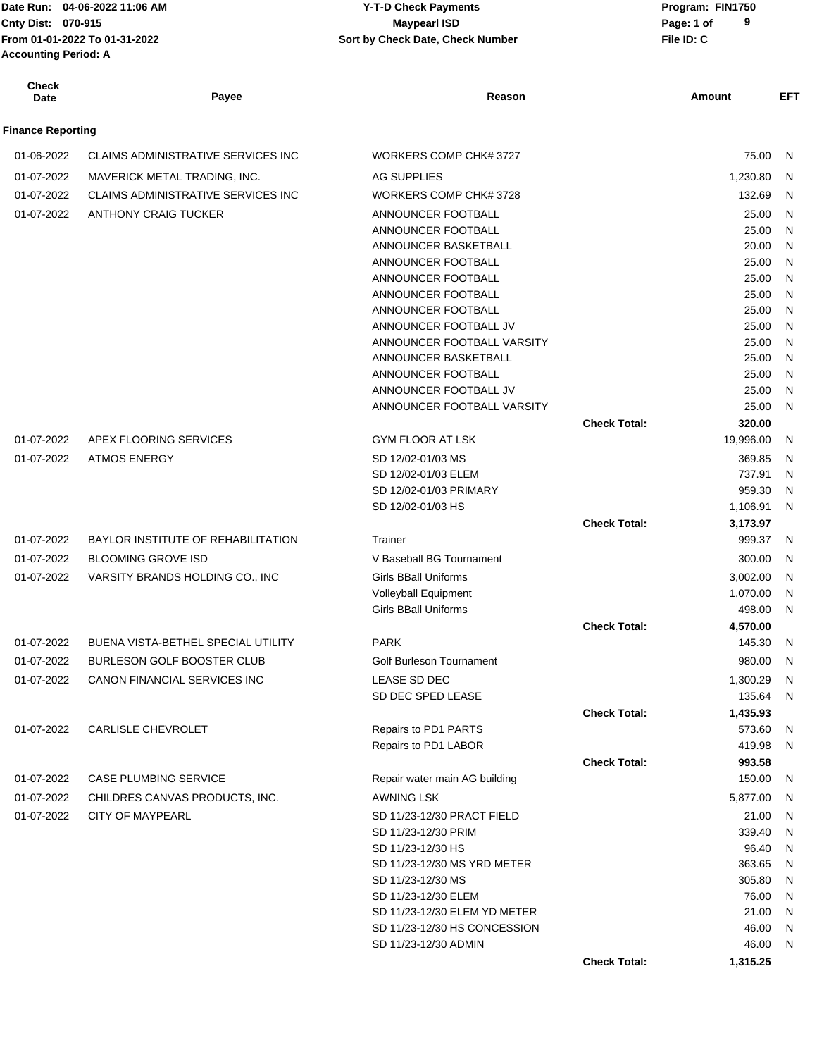| Cnty Dist: 070-915<br><b>Accounting Period: A</b> | From 01-01-2022 To 01-31-2022              | <b>Maypearl ISD</b><br>Sort by Check Date, Check Number |                     | 9<br>Page: 1 of<br>File ID: C |         |
|---------------------------------------------------|--------------------------------------------|---------------------------------------------------------|---------------------|-------------------------------|---------|
| <b>Check</b><br>Date                              | Payee                                      | Reason                                                  |                     | Amount                        | EFT     |
| <b>Finance Reporting</b>                          |                                            |                                                         |                     |                               |         |
| 01-06-2022                                        | <b>CLAIMS ADMINISTRATIVE SERVICES INC</b>  | WORKERS COMP CHK# 3727                                  |                     | 75.00                         | - N     |
| 01-07-2022                                        | MAVERICK METAL TRADING, INC.               | AG SUPPLIES                                             |                     | 1,230.80                      | -N      |
| 01-07-2022                                        | <b>CLAIMS ADMINISTRATIVE SERVICES INC.</b> | WORKERS COMP CHK# 3728                                  |                     | 132.69                        | N       |
|                                                   |                                            | ANNOUNCER FOOTBALL                                      |                     |                               |         |
| 01-07-2022                                        | ANTHONY CRAIG TUCKER                       | ANNOUNCER FOOTBALL                                      |                     | 25.00<br>25.00                | N<br>N  |
|                                                   |                                            | ANNOUNCER BASKETBALL                                    |                     | 20.00                         | N       |
|                                                   |                                            | ANNOUNCER FOOTBALL                                      |                     | 25.00                         | N       |
|                                                   |                                            | ANNOUNCER FOOTBALL                                      |                     | 25.00                         | N       |
|                                                   |                                            | ANNOUNCER FOOTBALL                                      |                     | 25.00                         | N       |
|                                                   |                                            | ANNOUNCER FOOTBALL                                      |                     | 25.00                         | N       |
|                                                   |                                            | ANNOUNCER FOOTBALL JV                                   |                     | 25.00                         | N       |
|                                                   |                                            | ANNOUNCER FOOTBALL VARSITY                              |                     | 25.00                         | N       |
|                                                   |                                            | ANNOUNCER BASKETBALL                                    |                     | 25.00                         | N       |
|                                                   |                                            | ANNOUNCER FOOTBALL<br>ANNOUNCER FOOTBALL JV             |                     | 25.00<br>25.00                | N<br>N. |
|                                                   |                                            | ANNOUNCER FOOTBALL VARSITY                              |                     | 25.00                         | N,      |
|                                                   |                                            |                                                         | <b>Check Total:</b> | 320.00                        |         |
| 01-07-2022                                        | APEX FLOORING SERVICES                     | <b>GYM FLOOR AT LSK</b>                                 |                     | 19,996.00                     | N,      |
| 01-07-2022                                        | <b>ATMOS ENERGY</b>                        | SD 12/02-01/03 MS                                       |                     | 369.85                        | N       |
|                                                   |                                            | SD 12/02-01/03 ELEM                                     |                     | 737.91                        | N       |
|                                                   |                                            | SD 12/02-01/03 PRIMARY                                  |                     | 959.30                        | N       |
|                                                   |                                            | SD 12/02-01/03 HS                                       |                     | 1,106.91                      | N.      |
|                                                   |                                            |                                                         | <b>Check Total:</b> | 3,173.97                      |         |
| 01-07-2022                                        | <b>BAYLOR INSTITUTE OF REHABILITATION</b>  | Trainer                                                 |                     | 999.37                        | - N     |
| 01-07-2022                                        | <b>BLOOMING GROVE ISD</b>                  | V Baseball BG Tournament                                |                     | 300.00                        | -N      |
| 01-07-2022                                        | VARSITY BRANDS HOLDING CO., INC            | <b>Girls BBall Uniforms</b>                             |                     | 3,002.00                      | N,      |
|                                                   |                                            | Volleyball Equipment                                    |                     | 1,070.00                      | N       |
|                                                   |                                            | <b>Girls BBall Uniforms</b>                             |                     | 498.00                        | N       |
|                                                   |                                            |                                                         | <b>Check Total:</b> | 4,570.00                      |         |
| 01-07-2022                                        | BUENA VISTA-BETHEL SPECIAL UTILITY         | <b>PARK</b>                                             |                     | 145.30                        | N,      |
| 01-07-2022                                        | <b>BURLESON GOLF BOOSTER CLUB</b>          | <b>Golf Burleson Tournament</b>                         |                     | 980.00                        | N       |
| 01-07-2022                                        | CANON FINANCIAL SERVICES INC               | LEASE SD DEC                                            |                     | 1,300.29                      | N       |
|                                                   |                                            | SD DEC SPED LEASE                                       | <b>Check Total:</b> | 135.64 N                      |         |
| 01-07-2022                                        | CARLISLE CHEVROLET                         | Repairs to PD1 PARTS                                    |                     | 1,435.93<br>573.60            | N,      |
|                                                   |                                            | Repairs to PD1 LABOR                                    |                     | 419.98                        | N       |
|                                                   |                                            |                                                         | <b>Check Total:</b> | 993.58                        |         |
| 01-07-2022                                        | <b>CASE PLUMBING SERVICE</b>               | Repair water main AG building                           |                     | 150.00                        | N,      |
| 01-07-2022                                        | CHILDRES CANVAS PRODUCTS, INC.             | <b>AWNING LSK</b>                                       |                     | 5,877.00                      | N,      |
| 01-07-2022                                        | <b>CITY OF MAYPEARL</b>                    | SD 11/23-12/30 PRACT FIELD                              |                     | 21.00                         | N       |
|                                                   |                                            | SD 11/23-12/30 PRIM                                     |                     | 339.40                        | N,      |
|                                                   |                                            | SD 11/23-12/30 HS                                       |                     | 96.40                         | N       |
|                                                   |                                            | SD 11/23-12/30 MS YRD METER                             |                     | 363.65                        | N       |
|                                                   |                                            | SD 11/23-12/30 MS                                       |                     | 305.80                        | N,      |
|                                                   |                                            | SD 11/23-12/30 ELEM                                     |                     | 76.00 N                       |         |

Date Run: 04-06-2022 11:06 AM **CONSERVIA CONSERVIATES** Y-T-D Check Payments **CONSERVIATES** Program: FIN1750

**04-06-2022 11:06 AM Y-T-D Check Payments**

**Check Total: 1,315.25**

SD 11/23-12/30 ELEM YD METER 21.00 N SD 11/23-12/30 HS CONCESSION 46.00 N

SD 11/23-12/30 ADMIN 46.00 N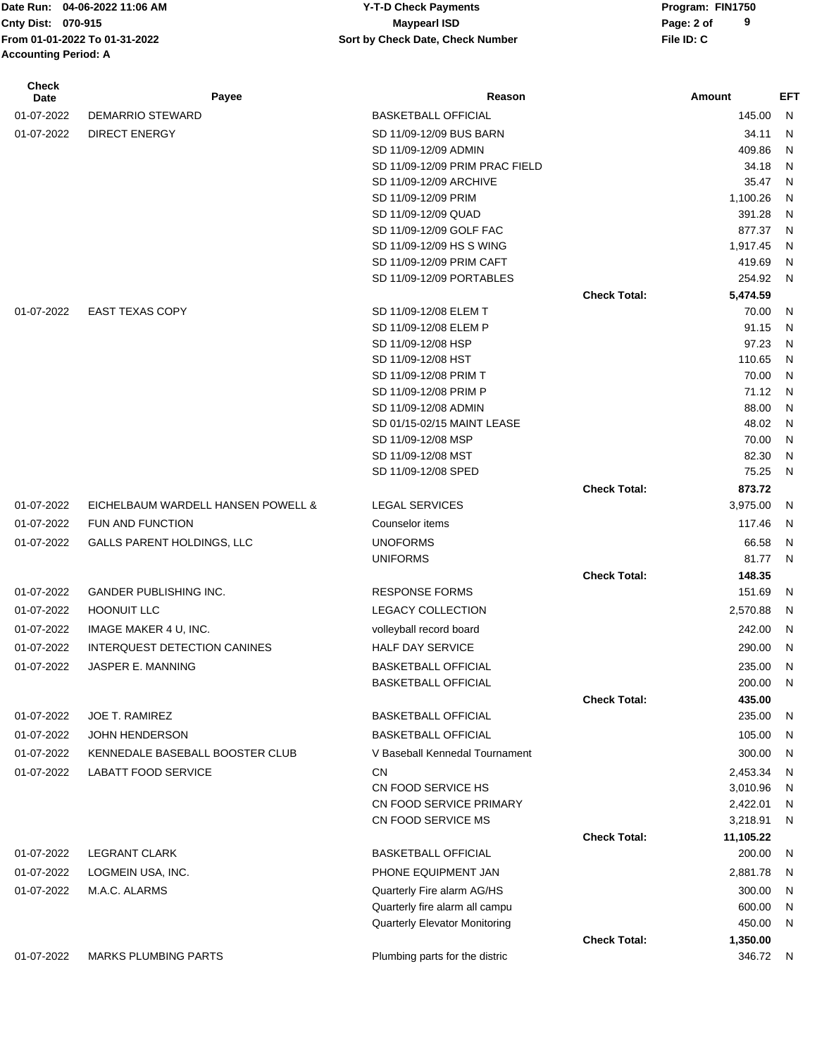Date Run: 04-06-2022 11:06 AM **CONSERVIA CONSERVIATES** Y-T-D Check Payments **CONSERVIATES** Program: FIN1750 **From 01-01-2022 To 01-31-2022 File ID: C Sort by Check Date, Check Number Accounting Period: A**

# **Cnty Dist: Page: 2 of 04-06-2022 11:06 AM Y-T-D Check Payments 070-915 Maypearl ISD**

| <b>Check</b><br>Date | Payee                               | Reason                                               |                     | Amount           | EFT            |
|----------------------|-------------------------------------|------------------------------------------------------|---------------------|------------------|----------------|
| 01-07-2022           | <b>DEMARRIO STEWARD</b>             | <b>BASKETBALL OFFICIAL</b>                           |                     | 145.00           | N              |
| 01-07-2022           | <b>DIRECT ENERGY</b>                | SD 11/09-12/09 BUS BARN                              |                     | 34.11            | N              |
|                      |                                     | SD 11/09-12/09 ADMIN                                 |                     | 409.86           | N              |
|                      |                                     | SD 11/09-12/09 PRIM PRAC FIELD                       |                     | 34.18            | N              |
|                      |                                     | SD 11/09-12/09 ARCHIVE                               |                     | 35.47            | N              |
|                      |                                     | SD 11/09-12/09 PRIM                                  |                     | 1,100.26         | N              |
|                      |                                     | SD 11/09-12/09 QUAD                                  |                     | 391.28           | N              |
|                      |                                     | SD 11/09-12/09 GOLF FAC                              |                     | 877.37           | N              |
|                      |                                     | SD 11/09-12/09 HS S WING                             |                     | 1,917.45         | N              |
|                      |                                     | SD 11/09-12/09 PRIM CAFT<br>SD 11/09-12/09 PORTABLES |                     | 419.69<br>254.92 | N<br>N         |
|                      |                                     |                                                      | <b>Check Total:</b> | 5,474.59         |                |
| 01-07-2022           | <b>EAST TEXAS COPY</b>              | SD 11/09-12/08 ELEM T                                |                     | 70.00            | N              |
|                      |                                     | SD 11/09-12/08 ELEM P                                |                     | 91.15            | N              |
|                      |                                     | SD 11/09-12/08 HSP                                   |                     | 97.23            | N              |
|                      |                                     | SD 11/09-12/08 HST                                   |                     | 110.65           | N              |
|                      |                                     | SD 11/09-12/08 PRIM T                                |                     | 70.00            | N              |
|                      |                                     | SD 11/09-12/08 PRIM P                                |                     | 71.12            | N              |
|                      |                                     | SD 11/09-12/08 ADMIN                                 |                     | 88.00            | N              |
|                      |                                     | SD 01/15-02/15 MAINT LEASE                           |                     | 48.02            | N              |
|                      |                                     | SD 11/09-12/08 MSP                                   |                     | 70.00            | N              |
|                      |                                     | SD 11/09-12/08 MST                                   |                     | 82.30            | N              |
|                      |                                     | SD 11/09-12/08 SPED                                  |                     | 75.25            | N              |
|                      |                                     |                                                      | <b>Check Total:</b> | 873.72           |                |
| 01-07-2022           | EICHELBAUM WARDELL HANSEN POWELL &  | <b>LEGAL SERVICES</b>                                |                     | 3,975.00         | N              |
| 01-07-2022           | FUN AND FUNCTION                    | Counselor items                                      |                     | 117.46           | N              |
| 01-07-2022           | <b>GALLS PARENT HOLDINGS, LLC</b>   | <b>UNOFORMS</b>                                      |                     | 66.58            | N              |
|                      |                                     | <b>UNIFORMS</b>                                      |                     | 81.77            | N              |
|                      |                                     |                                                      | <b>Check Total:</b> | 148.35           |                |
| 01-07-2022           | <b>GANDER PUBLISHING INC.</b>       | <b>RESPONSE FORMS</b>                                |                     | 151.69           | N              |
| 01-07-2022           | <b>HOONUIT LLC</b>                  | <b>LEGACY COLLECTION</b>                             |                     | 2,570.88         | N              |
| 01-07-2022           | IMAGE MAKER 4 U, INC.               | volleyball record board                              |                     | 242.00           | N              |
| 01-07-2022           | <b>INTERQUEST DETECTION CANINES</b> | <b>HALF DAY SERVICE</b>                              |                     | 290.00           | N              |
| 01-07-2022           | JASPER E. MANNING                   | <b>BASKETBALL OFFICIAL</b>                           |                     | 235.00           | -N             |
|                      |                                     | <b>BASKETBALL OFFICIAL</b>                           |                     | 200.00           | N              |
|                      |                                     |                                                      | <b>Check Total:</b> | 435.00           |                |
| 01-07-2022           | <b>JOE T. RAMIREZ</b>               | <b>BASKETBALL OFFICIAL</b>                           |                     | 235.00           | N              |
| 01-07-2022           | <b>JOHN HENDERSON</b>               | <b>BASKETBALL OFFICIAL</b>                           |                     | 105.00           | N              |
| 01-07-2022           | KENNEDALE BASEBALL BOOSTER CLUB     | V Baseball Kennedal Tournament                       |                     | 300.00           | N              |
| 01-07-2022           | <b>LABATT FOOD SERVICE</b>          | <b>CN</b>                                            |                     | 2,453.34         | N              |
|                      |                                     | CN FOOD SERVICE HS                                   |                     | 3,010.96         | N              |
|                      |                                     | CN FOOD SERVICE PRIMARY                              |                     | 2,422.01         | N              |
|                      |                                     | CN FOOD SERVICE MS                                   |                     | 3,218.91         | N              |
|                      |                                     |                                                      | <b>Check Total:</b> | 11,105.22        |                |
| 01-07-2022           | <b>LEGRANT CLARK</b>                | <b>BASKETBALL OFFICIAL</b>                           |                     | 200.00           | N              |
| 01-07-2022           | LOGMEIN USA, INC.                   | PHONE EQUIPMENT JAN                                  |                     | 2,881.78         | N              |
| 01-07-2022           | M.A.C. ALARMS                       | Quarterly Fire alarm AG/HS                           |                     | 300.00           | N              |
|                      |                                     | Quarterly fire alarm all campu                       |                     | 600.00           | $\overline{N}$ |
|                      |                                     | Quarterly Elevator Monitoring                        |                     | 450.00           | N              |
|                      |                                     |                                                      | <b>Check Total:</b> | 1,350.00         |                |
| 01-07-2022           | <b>MARKS PLUMBING PARTS</b>         | Plumbing parts for the distric                       |                     | 346.72           | N.             |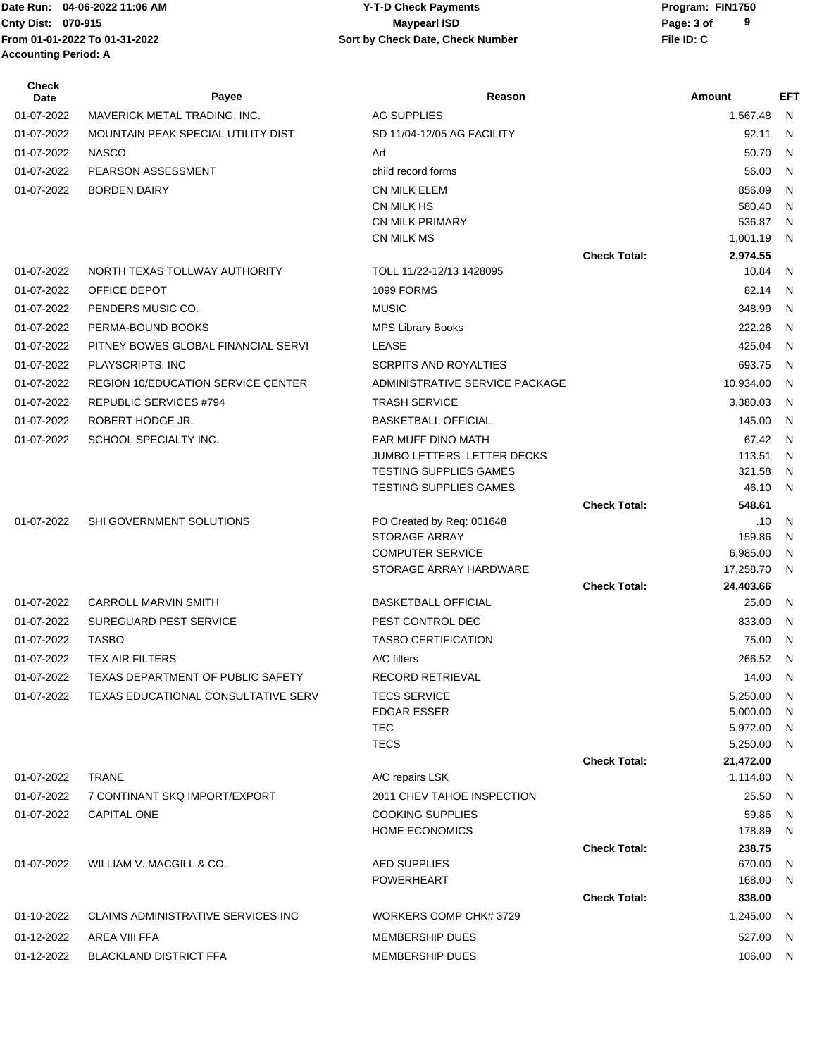Date Run: 04-06-2022 11:06 AM **CONSERVIA CONSERVIATES** Y-T-D Check Payments **CONSERVIATES** Program: FIN1750 **Accounting Period: A**

## **Cnty Dist:** 070-915 **Page: 3 of Page: 3 of Page: 3 of Page: 3 of From 01-01-2022 To 01-31-2022 File ID: C Sort by Check Date, Check Number 04-06-2022 11:06 AM Y-T-D Check Payments 070-915 Maypearl ISD**

| <b>Check</b><br>Date | Payee                                        | Reason                                           |                     | Amount          | <b>EFT</b>   |
|----------------------|----------------------------------------------|--------------------------------------------------|---------------------|-----------------|--------------|
| 01-07-2022           | MAVERICK METAL TRADING, INC.                 | <b>AG SUPPLIES</b>                               |                     | 1,567.48        | N.           |
| 01-07-2022           | MOUNTAIN PEAK SPECIAL UTILITY DIST           | SD 11/04-12/05 AG FACILITY                       |                     | 92.11           | N.           |
| 01-07-2022           | <b>NASCO</b>                                 | Art                                              |                     | 50.70           | N            |
| 01-07-2022           | PEARSON ASSESSMENT                           | child record forms                               |                     | 56.00           | N            |
| 01-07-2022           | <b>BORDEN DAIRY</b>                          | <b>CN MILK ELEM</b>                              |                     | 856.09          | N            |
|                      |                                              | CN MILK HS                                       |                     | 580.40          | N            |
|                      |                                              | <b>CN MILK PRIMARY</b>                           |                     | 536.87          | N            |
|                      |                                              | CN MILK MS                                       |                     | 1,001.19        | N            |
|                      |                                              |                                                  | <b>Check Total:</b> | 2,974.55        |              |
| 01-07-2022           | NORTH TEXAS TOLLWAY AUTHORITY                | TOLL 11/22-12/13 1428095                         |                     | 10.84           | N            |
| 01-07-2022           | OFFICE DEPOT                                 | 1099 FORMS                                       |                     | 82.14           | N            |
| 01-07-2022           | PENDERS MUSIC CO.                            | <b>MUSIC</b>                                     |                     | 348.99          | N            |
| 01-07-2022           | PERMA-BOUND BOOKS                            | <b>MPS Library Books</b>                         |                     | 222.26          | N            |
| 01-07-2022           | PITNEY BOWES GLOBAL FINANCIAL SERVI          | <b>LEASE</b>                                     |                     | 425.04          | N            |
| 01-07-2022           | PLAYSCRIPTS, INC                             | <b>SCRPITS AND ROYALTIES</b>                     |                     | 693.75          | N            |
| 01-07-2022           | <b>REGION 10/EDUCATION SERVICE CENTER</b>    | ADMINISTRATIVE SERVICE PACKAGE                   |                     | 10,934.00       | $\mathsf{N}$ |
| 01-07-2022           | REPUBLIC SERVICES #794                       | <b>TRASH SERVICE</b>                             |                     | 3,380.03        | N            |
| 01-07-2022           | ROBERT HODGE JR.                             | <b>BASKETBALL OFFICIAL</b>                       |                     | 145.00          | N            |
| 01-07-2022           | SCHOOL SPECIALTY INC.                        | EAR MUFF DINO MATH                               |                     | 67.42           | N            |
|                      |                                              | JUMBO LETTERS LETTER DECKS                       |                     | 113.51          | N            |
|                      |                                              | TESTING SUPPLIES GAMES                           |                     | 321.58<br>46.10 | N<br>N       |
|                      |                                              | TESTING SUPPLIES GAMES                           | <b>Check Total:</b> | 548.61          |              |
| 01-07-2022           | SHI GOVERNMENT SOLUTIONS                     | PO Created by Req: 001648                        |                     | .10             | N            |
|                      |                                              | <b>STORAGE ARRAY</b>                             |                     | 159.86          | N            |
|                      |                                              | <b>COMPUTER SERVICE</b>                          |                     | 6,985.00        | N            |
|                      |                                              | STORAGE ARRAY HARDWARE                           |                     | 17,258.70       | N            |
|                      |                                              |                                                  | <b>Check Total:</b> | 24,403.66       |              |
| 01-07-2022           | <b>CARROLL MARVIN SMITH</b>                  | <b>BASKETBALL OFFICIAL</b>                       |                     | 25.00           | N            |
| 01-07-2022           | <b>SUREGUARD PEST SERVICE</b>                | PEST CONTROL DEC                                 |                     | 833.00          | N.           |
| 01-07-2022           | <b>TASBO</b>                                 | <b>TASBO CERTIFICATION</b>                       |                     | 75.00           | N            |
| 01-07-2022           | <b>TEX AIR FILTERS</b>                       | A/C filters                                      |                     | 266.52 N        |              |
|                      | 01-07-2022 TEXAS DEPARTMENT OF PUBLIC SAFETY | RECORD RETRIEVAL                                 |                     | 14.00 N         |              |
| 01-07-2022           | TEXAS EDUCATIONAL CONSULTATIVE SERV          | <b>TECS SERVICE</b>                              |                     | 5,250.00        | -N           |
|                      |                                              | <b>EDGAR ESSER</b>                               |                     | 5,000.00        | N            |
|                      |                                              | <b>TEC</b>                                       |                     | 5,972.00        | N            |
|                      |                                              | <b>TECS</b>                                      |                     | 5,250.00        | N            |
|                      |                                              |                                                  | <b>Check Total:</b> | 21,472.00       |              |
| 01-07-2022           | TRANE                                        | A/C repairs LSK                                  |                     | 1,114.80        | N,           |
| 01-07-2022           | 7 CONTINANT SKQ IMPORT/EXPORT                | 2011 CHEV TAHOE INSPECTION                       |                     | 25.50           | N            |
| 01-07-2022           | CAPITAL ONE                                  | <b>COOKING SUPPLIES</b><br><b>HOME ECONOMICS</b> |                     | 59.86<br>178.89 | N<br>N       |
|                      |                                              |                                                  | <b>Check Total:</b> | 238.75          |              |
| 01-07-2022           | WILLIAM V. MACGILL & CO.                     | <b>AED SUPPLIES</b>                              |                     | 670.00          | N            |
|                      |                                              | POWERHEART                                       |                     | 168.00          | N            |
|                      |                                              |                                                  | <b>Check Total:</b> | 838.00          |              |
| 01-10-2022           | CLAIMS ADMINISTRATIVE SERVICES INC           | WORKERS COMP CHK# 3729                           |                     | 1,245.00        | N            |
| 01-12-2022           | AREA VIII FFA                                | <b>MEMBERSHIP DUES</b>                           |                     | 527.00          | -N           |
| 01-12-2022           | <b>BLACKLAND DISTRICT FFA</b>                | MEMBERSHIP DUES                                  |                     | 106.00 N        |              |
|                      |                                              |                                                  |                     |                 |              |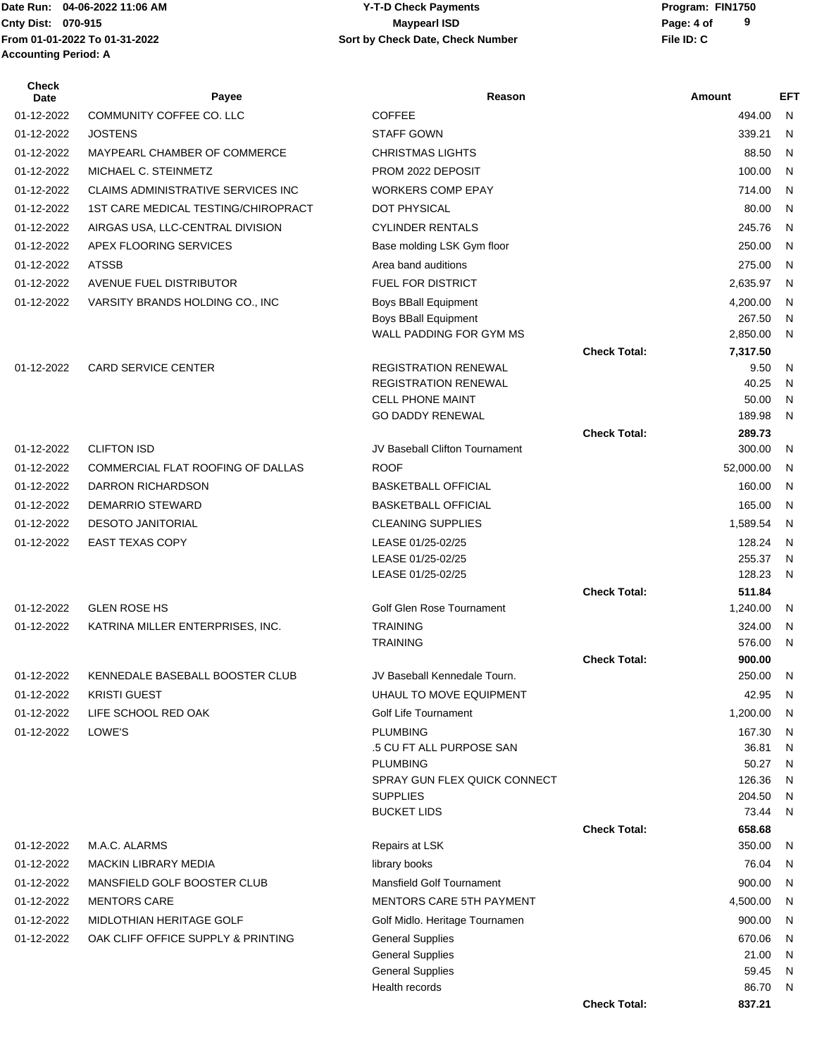## Date Run: 04-06-2022 11:06 AM **CONSERVIA CONSERVIATES** Y-T-D Check Payments **CONSERVIATES** Program: FIN1750 **Cnty Dist:** 070-915 **Page: 4 of Page: 4 of Page: 4 of Page: 4 of Page: 4 of Page: 4 of 04-06-2022 11:06 AM Y-T-D Check Payments 070-915 Maypearl ISD**

| Check<br>Date | Payee                               | Reason                                             |                     | Amount           | <b>EFT</b>                   |
|---------------|-------------------------------------|----------------------------------------------------|---------------------|------------------|------------------------------|
| 01-12-2022    | COMMUNITY COFFEE CO. LLC            | <b>COFFEE</b>                                      |                     | 494.00           | N                            |
| 01-12-2022    | <b>JOSTENS</b>                      | <b>STAFF GOWN</b>                                  |                     | 339.21           | N                            |
| 01-12-2022    | MAYPEARL CHAMBER OF COMMERCE        | <b>CHRISTMAS LIGHTS</b>                            |                     | 88.50            | N                            |
| 01-12-2022    | MICHAEL C. STEINMETZ                | PROM 2022 DEPOSIT                                  |                     | 100.00           | N                            |
| 01-12-2022    | CLAIMS ADMINISTRATIVE SERVICES INC  | <b>WORKERS COMP EPAY</b>                           |                     | 714.00           | N                            |
| 01-12-2022    | 1ST CARE MEDICAL TESTING/CHIROPRACT | DOT PHYSICAL                                       |                     | 80.00            | N                            |
| 01-12-2022    | AIRGAS USA, LLC-CENTRAL DIVISION    | <b>CYLINDER RENTALS</b>                            |                     | 245.76           | N                            |
| 01-12-2022    | APEX FLOORING SERVICES              | Base molding LSK Gym floor                         |                     | 250.00           | N                            |
| 01-12-2022    | <b>ATSSB</b>                        | Area band auditions                                |                     | 275.00           | N                            |
| 01-12-2022    | AVENUE FUEL DISTRIBUTOR             | FUEL FOR DISTRICT                                  |                     | 2,635.97         | N                            |
| 01-12-2022    | VARSITY BRANDS HOLDING CO., INC     | <b>Boys BBall Equipment</b>                        |                     | 4,200.00         | $\mathsf{N}$                 |
|               |                                     | <b>Boys BBall Equipment</b>                        |                     | 267.50           | N                            |
|               |                                     | WALL PADDING FOR GYM MS                            |                     | 2,850.00         | N                            |
| 01-12-2022    | <b>CARD SERVICE CENTER</b>          | <b>REGISTRATION RENEWAL</b>                        | <b>Check Total:</b> | 7,317.50<br>9.50 | $\mathsf{N}$                 |
|               |                                     | <b>REGISTRATION RENEWAL</b>                        |                     | 40.25            | N                            |
|               |                                     | <b>CELL PHONE MAINT</b>                            |                     | 50.00            | N                            |
|               |                                     | <b>GO DADDY RENEWAL</b>                            |                     | 189.98           | N                            |
|               |                                     |                                                    | <b>Check Total:</b> | 289.73           |                              |
| 01-12-2022    | <b>CLIFTON ISD</b>                  | JV Baseball Clifton Tournament                     |                     | 300.00           | N                            |
| 01-12-2022    | COMMERCIAL FLAT ROOFING OF DALLAS   | <b>ROOF</b>                                        |                     | 52,000.00        | N                            |
| 01-12-2022    | DARRON RICHARDSON                   | <b>BASKETBALL OFFICIAL</b>                         |                     | 160.00           | N                            |
| 01-12-2022    | <b>DEMARRIO STEWARD</b>             | <b>BASKETBALL OFFICIAL</b>                         |                     | 165.00           | N                            |
| 01-12-2022    | <b>DESOTO JANITORIAL</b>            | <b>CLEANING SUPPLIES</b>                           |                     | 1,589.54         | N                            |
| 01-12-2022    | <b>EAST TEXAS COPY</b>              | LEASE 01/25-02/25                                  |                     | 128.24           | N                            |
|               |                                     | LEASE 01/25-02/25                                  |                     | 255.37           | N                            |
|               |                                     | LEASE 01/25-02/25                                  | <b>Check Total:</b> | 128.23<br>511.84 | N                            |
| 01-12-2022    | <b>GLEN ROSE HS</b>                 | Golf Glen Rose Tournament                          |                     | 1,240.00         | $\mathsf{N}$                 |
| 01-12-2022    | KATRINA MILLER ENTERPRISES, INC.    | <b>TRAINING</b>                                    |                     | 324.00           | N                            |
|               |                                     | <b>TRAINING</b>                                    |                     | 576.00           | N                            |
|               |                                     |                                                    | <b>Check Total:</b> | 900.00           |                              |
| 01-12-2022    | KENNEDALE BASEBALL BOOSTER CLUB     | JV Baseball Kennedale Tourn.                       |                     | 250.00           | N                            |
| 01-12-2022    | <b>KRISTI GUEST</b>                 | UHAUL TO MOVE EQUIPMENT                            |                     | 42.95            | N                            |
| 01-12-2022    | LIFE SCHOOL RED OAK                 | Golf Life Tournament                               |                     | 1,200.00         | N                            |
| 01-12-2022    | LOWE'S                              | <b>PLUMBING</b>                                    |                     | 167.30           | N                            |
|               |                                     | .5 CU FT ALL PURPOSE SAN<br><b>PLUMBING</b>        |                     | 36.81<br>50.27   | N<br>N                       |
|               |                                     | SPRAY GUN FLEX QUICK CONNECT                       |                     | 126.36           | N                            |
|               |                                     | <b>SUPPLIES</b>                                    |                     | 204.50           | N                            |
|               |                                     | <b>BUCKET LIDS</b>                                 |                     | 73.44            | N                            |
|               |                                     |                                                    | <b>Check Total:</b> | 658.68           |                              |
| 01-12-2022    | M.A.C. ALARMS                       | Repairs at LSK                                     |                     | 350.00           | N                            |
| 01-12-2022    | <b>MACKIN LIBRARY MEDIA</b>         | library books                                      |                     | 76.04            | N                            |
| 01-12-2022    | MANSFIELD GOLF BOOSTER CLUB         | <b>Mansfield Golf Tournament</b>                   |                     | 900.00           | N                            |
| 01-12-2022    | <b>MENTORS CARE</b>                 | MENTORS CARE 5TH PAYMENT                           |                     | 4,500.00         | N                            |
| 01-12-2022    | MIDLOTHIAN HERITAGE GOLF            | Golf Midlo. Heritage Tournamen                     |                     | 900.00           | $\mathsf{N}$                 |
| 01-12-2022    | OAK CLIFF OFFICE SUPPLY & PRINTING  | <b>General Supplies</b>                            |                     | 670.06           | N                            |
|               |                                     | <b>General Supplies</b><br><b>General Supplies</b> |                     | 21.00<br>59.45   | $\mathsf{N}$<br>$\mathsf{N}$ |
|               |                                     | Health records                                     |                     | 86.70            | N                            |
|               |                                     |                                                    | <b>Check Total:</b> | 837.21           |                              |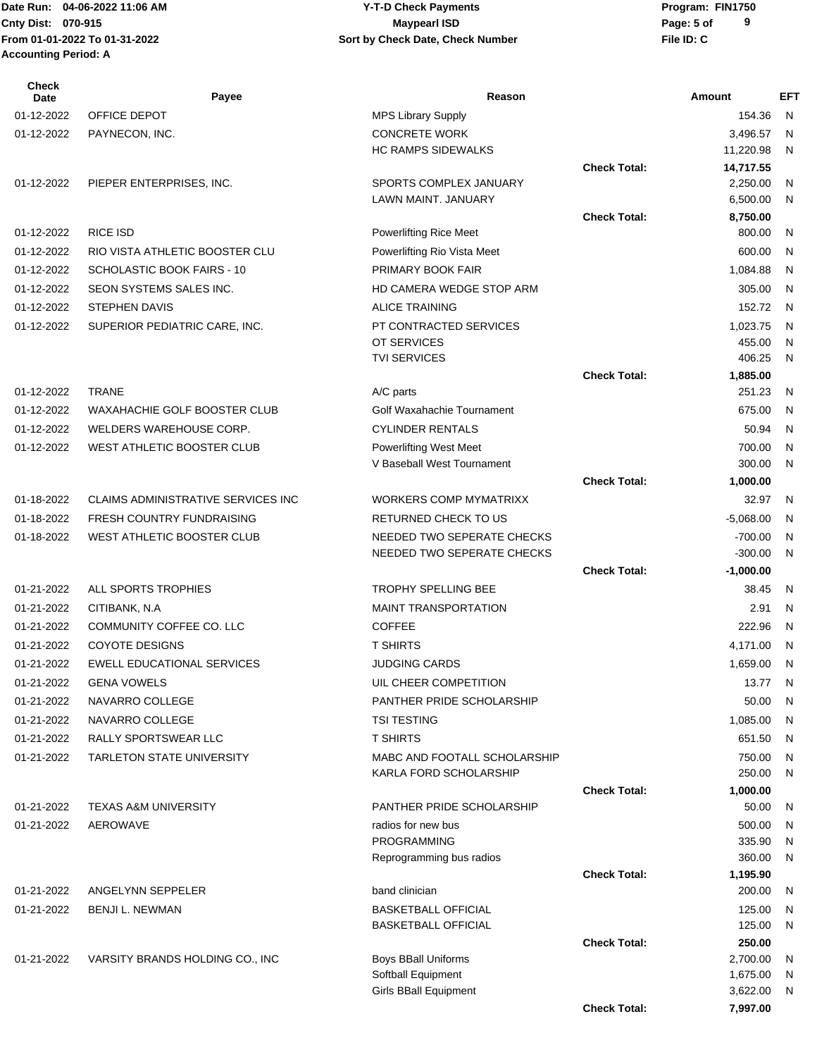Date Run: 04-06-2022 11:06 AM **CONSERVIA CONSERVIATES** Y-T-D Check Payments **CONSERVIATES** Program: FIN1750 **From 01-01-2022 To 01-31-2022 File ID: C Sort by Check Date, Check Number Accounting Period: A**

# **Cnty Dist:** 070-915 **Page:** 5 of **04-06-2022 11:06 AM Y-T-D Check Payments 070-915 Maypearl ISD**

| <b>Check</b><br>Date | Payee                              | Reason                             |                     | Amount             | <b>EFT</b> |
|----------------------|------------------------------------|------------------------------------|---------------------|--------------------|------------|
| 01-12-2022           | OFFICE DEPOT                       | <b>MPS Library Supply</b>          |                     | 154.36             | N          |
| 01-12-2022           | PAYNECON, INC.                     | <b>CONCRETE WORK</b>               |                     | 3,496.57           | N          |
|                      |                                    | <b>HC RAMPS SIDEWALKS</b>          |                     | 11,220.98          | N          |
|                      |                                    |                                    | <b>Check Total:</b> | 14,717.55          |            |
| 01-12-2022           | PIEPER ENTERPRISES, INC.           | SPORTS COMPLEX JANUARY             |                     | 2,250.00           | N          |
|                      |                                    | LAWN MAINT. JANUARY                |                     | 6,500.00           | N          |
| 01-12-2022           | <b>RICE ISD</b>                    | <b>Powerlifting Rice Meet</b>      | <b>Check Total:</b> | 8,750.00<br>800.00 | N          |
|                      | RIO VISTA ATHLETIC BOOSTER CLU     |                                    |                     |                    |            |
| 01-12-2022           |                                    | Powerlifting Rio Vista Meet        |                     | 600.00             | N          |
| 01-12-2022           | SCHOLASTIC BOOK FAIRS - 10         | PRIMARY BOOK FAIR                  |                     | 1,084.88           | N          |
| 01-12-2022           | SEON SYSTEMS SALES INC.            | HD CAMERA WEDGE STOP ARM           |                     | 305.00             | N          |
| 01-12-2022           | <b>STEPHEN DAVIS</b>               | <b>ALICE TRAINING</b>              |                     | 152.72             | N          |
| 01-12-2022           | SUPERIOR PEDIATRIC CARE, INC.      | PT CONTRACTED SERVICES             |                     | 1,023.75           | N          |
|                      |                                    | OT SERVICES<br><b>TVI SERVICES</b> |                     | 455.00<br>406.25   | N<br>N     |
|                      |                                    |                                    | <b>Check Total:</b> | 1,885.00           |            |
| 01-12-2022           | <b>TRANE</b>                       | A/C parts                          |                     | 251.23             | N          |
| 01-12-2022           | WAXAHACHIE GOLF BOOSTER CLUB       | Golf Waxahachie Tournament         |                     | 675.00             | N          |
| 01-12-2022           | WELDERS WAREHOUSE CORP.            | <b>CYLINDER RENTALS</b>            |                     | 50.94              | N          |
| 01-12-2022           | WEST ATHLETIC BOOSTER CLUB         | Powerlifting West Meet             |                     | 700.00             | N          |
|                      |                                    | V Baseball West Tournament         |                     | 300.00             | N          |
|                      |                                    |                                    | <b>Check Total:</b> | 1,000.00           |            |
| 01-18-2022           | CLAIMS ADMINISTRATIVE SERVICES INC | <b>WORKERS COMP MYMATRIXX</b>      |                     | 32.97              | N          |
| 01-18-2022           | <b>FRESH COUNTRY FUNDRAISING</b>   | RETURNED CHECK TO US               |                     | $-5,068.00$        | N          |
| 01-18-2022           | WEST ATHLETIC BOOSTER CLUB         | NEEDED TWO SEPERATE CHECKS         |                     | $-700.00$          | N          |
|                      |                                    | NEEDED TWO SEPERATE CHECKS         |                     | $-300.00$          | N          |
|                      |                                    |                                    | <b>Check Total:</b> | $-1,000.00$        |            |
| 01-21-2022           | ALL SPORTS TROPHIES                | TROPHY SPELLING BEE                |                     | 38.45              | N          |
| 01-21-2022           | CITIBANK, N.A                      | <b>MAINT TRANSPORTATION</b>        |                     | 2.91               | N          |
| 01-21-2022           | COMMUNITY COFFEE CO. LLC           | <b>COFFEE</b>                      |                     | 222.96             | N          |
| 01-21-2022           | <b>COYOTE DESIGNS</b>              | <b>T SHIRTS</b>                    |                     | 4,171.00           | N          |
| 01-21-2022           | <b>EWELL EDUCATIONAL SERVICES</b>  | <b>JUDGING CARDS</b>               |                     | 1,659.00           | N          |
| 01-21-2022           | <b>GENA VOWELS</b>                 | UIL CHEER COMPETITION              |                     | 13.77              | N          |
| 01-21-2022           | NAVARRO COLLEGE                    | PANTHER PRIDE SCHOLARSHIP          |                     | 50.00              | N          |
| 01-21-2022           | NAVARRO COLLEGE                    | <b>TSI TESTING</b>                 |                     | 1,085.00           | N          |
| 01-21-2022           | RALLY SPORTSWEAR LLC               | <b>T SHIRTS</b>                    |                     | 651.50             | N          |
| 01-21-2022           | <b>TARLETON STATE UNIVERSITY</b>   | MABC AND FOOTALL SCHOLARSHIP       |                     | 750.00             | N          |
|                      |                                    | KARLA FORD SCHOLARSHIP             |                     | 250.00             | N          |
|                      |                                    |                                    | <b>Check Total:</b> | 1,000.00           |            |
| 01-21-2022           | <b>TEXAS A&amp;M UNIVERSITY</b>    | <b>PANTHER PRIDE SCHOLARSHIP</b>   |                     | 50.00              | N          |
| 01-21-2022           | AEROWAVE                           | radios for new bus                 |                     | 500.00             | N          |
|                      |                                    | PROGRAMMING                        |                     | 335.90             | N          |
|                      |                                    | Reprogramming bus radios           |                     | 360.00             | N          |
| 01-21-2022           | ANGELYNN SEPPELER                  | band clinician                     | <b>Check Total:</b> | 1,195.90<br>200.00 | N          |
| 01-21-2022           | <b>BENJI L. NEWMAN</b>             | <b>BASKETBALL OFFICIAL</b>         |                     | 125.00             | N          |
|                      |                                    | <b>BASKETBALL OFFICIAL</b>         |                     | 125.00             | N          |
|                      |                                    |                                    | <b>Check Total:</b> | 250.00             |            |
| 01-21-2022           | VARSITY BRANDS HOLDING CO., INC    | <b>Boys BBall Uniforms</b>         |                     | 2,700.00           | N          |
|                      |                                    | Softball Equipment                 |                     | 1,675.00           | N          |
|                      |                                    | <b>Girls BBall Equipment</b>       |                     | 3,622.00           | N          |
|                      |                                    |                                    | <b>Check Total:</b> | 7,997.00           |            |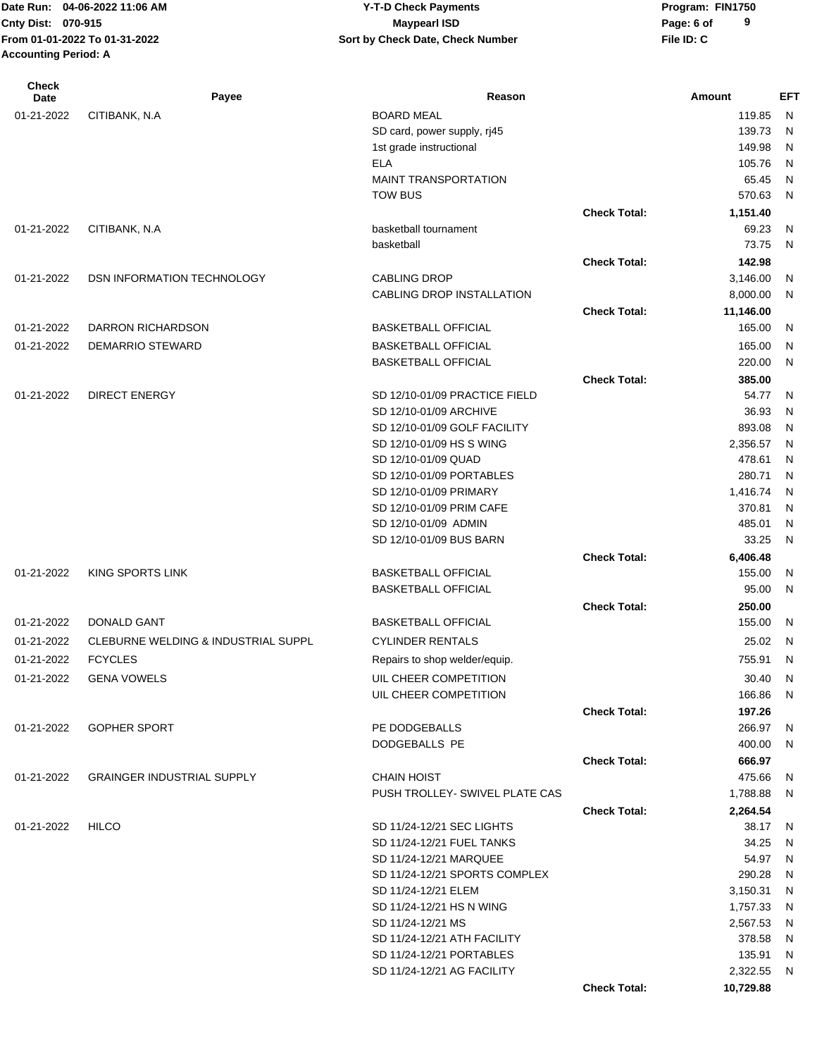## Date Run: 04-06-2022 11:06 AM **CONSERVIA CONSERVIATES** Y-T-D Check Payments **CONSERVIATES** Program: FIN1750 **Cnty Dist:** 070-915 **Page: 6 of MaypearI ISD MaypearI ISD 04-06-2022 11:06 AM Y-T-D Check Payments 070-915 Maypearl ISD**

| <b>Check</b><br>Date | Payee                               | Reason                                                   |                     | Amount           | <b>EFT</b> |
|----------------------|-------------------------------------|----------------------------------------------------------|---------------------|------------------|------------|
| 01-21-2022           | CITIBANK, N.A.                      | <b>BOARD MEAL</b>                                        |                     | 119.85           | N          |
|                      |                                     | SD card, power supply, rj45                              |                     | 139.73           | N          |
|                      |                                     | 1st grade instructional                                  |                     | 149.98           | N          |
|                      |                                     | <b>ELA</b>                                               |                     | 105.76           | N          |
|                      |                                     | <b>MAINT TRANSPORTATION</b>                              |                     | 65.45            | N          |
|                      |                                     | <b>TOW BUS</b>                                           |                     | 570.63           | N          |
|                      |                                     |                                                          | <b>Check Total:</b> | 1,151.40         |            |
| 01-21-2022           | CITIBANK, N.A                       | basketball tournament                                    |                     | 69.23            | N          |
|                      |                                     | basketball                                               |                     | 73.75            | N          |
|                      |                                     |                                                          | <b>Check Total:</b> | 142.98           |            |
| 01-21-2022           | DSN INFORMATION TECHNOLOGY          | <b>CABLING DROP</b>                                      |                     | 3,146.00         | N          |
|                      |                                     | CABLING DROP INSTALLATION                                |                     | 8,000.00         | N          |
|                      |                                     |                                                          | <b>Check Total:</b> | 11,146.00        |            |
| 01-21-2022           | DARRON RICHARDSON                   | <b>BASKETBALL OFFICIAL</b>                               |                     | 165.00           | N          |
|                      |                                     |                                                          |                     |                  |            |
| 01-21-2022           | DEMARRIO STEWARD                    | <b>BASKETBALL OFFICIAL</b><br><b>BASKETBALL OFFICIAL</b> |                     | 165.00<br>220.00 | N<br>N     |
|                      |                                     |                                                          |                     |                  |            |
|                      |                                     |                                                          | <b>Check Total:</b> | 385.00           |            |
| 01-21-2022           | <b>DIRECT ENERGY</b>                | SD 12/10-01/09 PRACTICE FIELD                            |                     | 54.77<br>36.93   | N          |
|                      |                                     | SD 12/10-01/09 ARCHIVE<br>SD 12/10-01/09 GOLF FACILITY   |                     | 893.08           | N<br>N     |
|                      |                                     | SD 12/10-01/09 HS S WING                                 |                     | 2,356.57         | N          |
|                      |                                     | SD 12/10-01/09 QUAD                                      |                     | 478.61           | N          |
|                      |                                     | SD 12/10-01/09 PORTABLES                                 |                     | 280.71           | N          |
|                      |                                     | SD 12/10-01/09 PRIMARY                                   |                     | 1,416.74         | N          |
|                      |                                     | SD 12/10-01/09 PRIM CAFE                                 |                     | 370.81           | N          |
|                      |                                     | SD 12/10-01/09 ADMIN                                     |                     | 485.01           | N          |
|                      |                                     | SD 12/10-01/09 BUS BARN                                  |                     | 33.25            | N          |
|                      |                                     |                                                          | <b>Check Total:</b> | 6,406.48         |            |
| 01-21-2022           | KING SPORTS LINK                    | <b>BASKETBALL OFFICIAL</b>                               |                     | 155.00           | N          |
|                      |                                     | <b>BASKETBALL OFFICIAL</b>                               |                     | 95.00            | N          |
|                      |                                     |                                                          | <b>Check Total:</b> | 250.00           |            |
| 01-21-2022           | <b>DONALD GANT</b>                  | <b>BASKETBALL OFFICIAL</b>                               |                     | 155.00           | N          |
|                      |                                     |                                                          |                     |                  |            |
| 01-21-2022           | CLEBURNE WELDING & INDUSTRIAL SUPPL | <b>CYLINDER RENTALS</b>                                  |                     | 25.02            | N          |
| 01-21-2022           | <b>FCYCLES</b>                      | Repairs to shop welder/equip.                            |                     | 755.91           | N          |
| 01-21-2022           | <b>GENA VOWELS</b>                  | UIL CHEER COMPETITION                                    |                     | 30.40 N          |            |
|                      |                                     | UIL CHEER COMPETITION                                    |                     | 166.86           | N          |
|                      |                                     |                                                          | <b>Check Total:</b> | 197.26           |            |
| 01-21-2022           | <b>GOPHER SPORT</b>                 | PE DODGEBALLS                                            |                     | 266.97           | N          |
|                      |                                     | DODGEBALLS PE                                            |                     | 400.00           | N          |
|                      |                                     |                                                          | <b>Check Total:</b> | 666.97           |            |
| 01-21-2022           | <b>GRAINGER INDUSTRIAL SUPPLY</b>   | <b>CHAIN HOIST</b>                                       |                     | 475.66           | N          |
|                      |                                     | PUSH TROLLEY- SWIVEL PLATE CAS                           |                     | 1,788.88         | N          |
|                      |                                     |                                                          | <b>Check Total:</b> | 2,264.54         |            |
| 01-21-2022           | <b>HILCO</b>                        | SD 11/24-12/21 SEC LIGHTS                                |                     | 38.17            | N          |
|                      |                                     | SD 11/24-12/21 FUEL TANKS                                |                     | 34.25            | N          |
|                      |                                     | SD 11/24-12/21 MARQUEE                                   |                     | 54.97            | N          |
|                      |                                     | SD 11/24-12/21 SPORTS COMPLEX                            |                     | 290.28           | N          |
|                      |                                     | SD 11/24-12/21 ELEM                                      |                     | 3,150.31         | N          |
|                      |                                     | SD 11/24-12/21 HS N WING                                 |                     | 1,757.33         | N          |
|                      |                                     | SD 11/24-12/21 MS                                        |                     | 2,567.53         | N          |
|                      |                                     | SD 11/24-12/21 ATH FACILITY                              |                     | 378.58           | N          |
|                      |                                     | SD 11/24-12/21 PORTABLES                                 |                     | 135.91           | N          |
|                      |                                     | SD 11/24-12/21 AG FACILITY                               |                     | 2,322.55         | N          |
|                      |                                     |                                                          | <b>Check Total:</b> | 10,729.88        |            |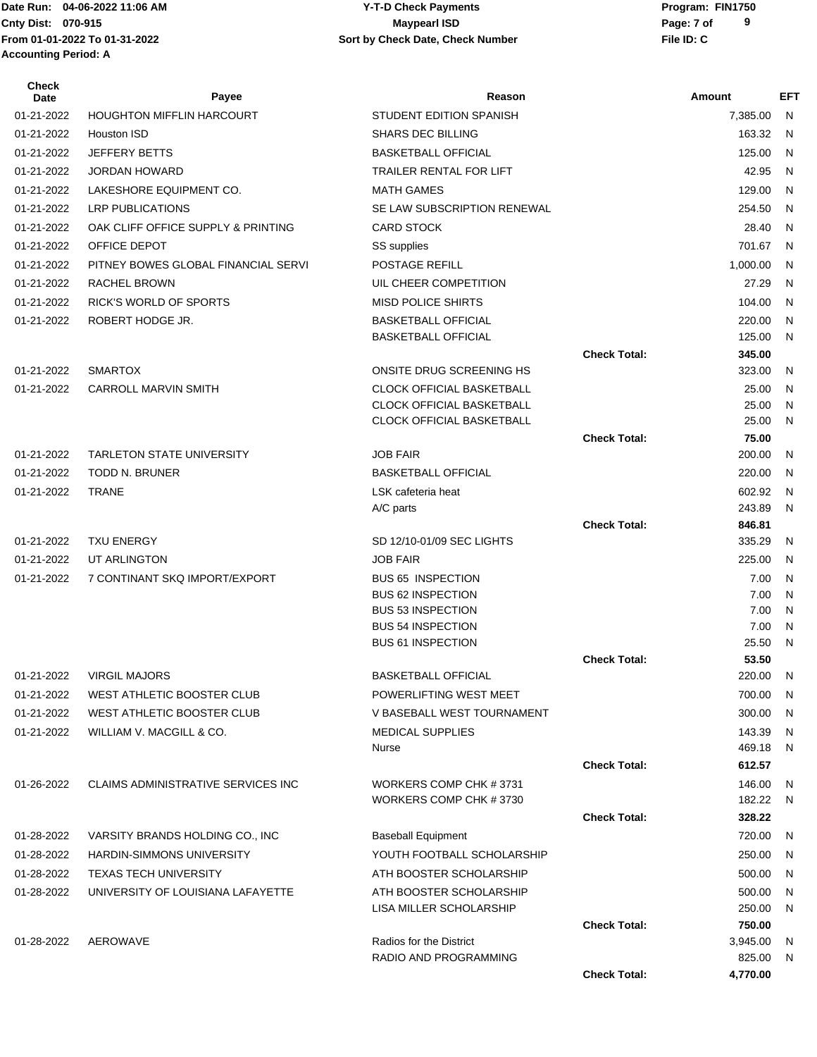#### Date Run: 04-06-2022 11:06 AM **CONSERVIA CONSERVIATES** Y-T-D Check Payments **CONSERVIATES** Program: FIN1750 **Cnty Dist:** 070-915 **Page: 7 of Page: 7 of MaypearI ISD 04-06-2022 11:06 AM Y-T-D Check Payments 070-915 Maypearl ISD**

| Check<br>Date | Payee                                      | Reason                                           |                     | <b>Amount</b>    | <b>EFT</b>   |
|---------------|--------------------------------------------|--------------------------------------------------|---------------------|------------------|--------------|
| 01-21-2022    | <b>HOUGHTON MIFFLIN HARCOURT</b>           | <b>STUDENT EDITION SPANISH</b>                   |                     | 7,385.00         | N            |
| 01-21-2022    | Houston ISD                                | <b>SHARS DEC BILLING</b>                         |                     | 163.32           | N.           |
| 01-21-2022    | <b>JEFFERY BETTS</b>                       | <b>BASKETBALL OFFICIAL</b>                       |                     | 125.00           | $\mathsf{N}$ |
| 01-21-2022    | <b>JORDAN HOWARD</b>                       | TRAILER RENTAL FOR LIFT                          |                     | 42.95            | N            |
| 01-21-2022    | LAKESHORE EQUIPMENT CO.                    | <b>MATH GAMES</b>                                |                     | 129.00           | N            |
| 01-21-2022    | <b>LRP PUBLICATIONS</b>                    | SE LAW SUBSCRIPTION RENEWAL                      |                     | 254.50           | N            |
| 01-21-2022    | OAK CLIFF OFFICE SUPPLY & PRINTING         | <b>CARD STOCK</b>                                |                     | 28.40            | N            |
| 01-21-2022    | OFFICE DEPOT                               | SS supplies                                      |                     | 701.67           | N.           |
| 01-21-2022    | PITNEY BOWES GLOBAL FINANCIAL SERVI        | POSTAGE REFILL                                   |                     | 1,000.00         | N            |
| 01-21-2022    | <b>RACHEL BROWN</b>                        | UIL CHEER COMPETITION                            |                     | 27.29            | N            |
| 01-21-2022    | <b>RICK'S WORLD OF SPORTS</b>              | <b>MISD POLICE SHIRTS</b>                        |                     | 104.00           | N            |
| 01-21-2022    | ROBERT HODGE JR.                           | <b>BASKETBALL OFFICIAL</b>                       |                     | 220.00           | N            |
|               |                                            | <b>BASKETBALL OFFICIAL</b>                       |                     | 125.00           | N            |
|               |                                            |                                                  | <b>Check Total:</b> | 345.00           |              |
| 01-21-2022    | <b>SMARTOX</b>                             | ONSITE DRUG SCREENING HS                         |                     | 323.00           | N            |
| 01-21-2022    | <b>CARROLL MARVIN SMITH</b>                | <b>CLOCK OFFICIAL BASKETBALL</b>                 |                     | 25.00            | N            |
|               |                                            | <b>CLOCK OFFICIAL BASKETBALL</b>                 |                     | 25.00            | N            |
|               |                                            | <b>CLOCK OFFICIAL BASKETBALL</b>                 |                     | 25.00            | N            |
|               |                                            |                                                  | <b>Check Total:</b> | 75.00            |              |
| 01-21-2022    | <b>TARLETON STATE UNIVERSITY</b>           | <b>JOB FAIR</b>                                  |                     | 200.00           | N            |
| 01-21-2022    | <b>TODD N. BRUNER</b>                      | <b>BASKETBALL OFFICIAL</b>                       |                     | 220.00           | N            |
| 01-21-2022    | <b>TRANE</b>                               | LSK cafeteria heat                               |                     | 602.92<br>243.89 | N<br>N       |
|               |                                            | A/C parts                                        | <b>Check Total:</b> | 846.81           |              |
| 01-21-2022    | <b>TXU ENERGY</b>                          | SD 12/10-01/09 SEC LIGHTS                        |                     | 335.29           | N            |
| 01-21-2022    | UT ARLINGTON                               | <b>JOB FAIR</b>                                  |                     | 225.00           | N            |
| 01-21-2022    | 7 CONTINANT SKQ IMPORT/EXPORT              | <b>BUS 65 INSPECTION</b>                         |                     | 7.00             | N            |
|               |                                            | <b>BUS 62 INSPECTION</b>                         |                     | 7.00             | N            |
|               |                                            | <b>BUS 53 INSPECTION</b>                         |                     | 7.00             | N            |
|               |                                            | <b>BUS 54 INSPECTION</b>                         |                     | 7.00             | N            |
|               |                                            | <b>BUS 61 INSPECTION</b>                         |                     | 25.50            | N            |
|               |                                            |                                                  | <b>Check Total:</b> | 53.50            |              |
| 01-21-2022    | <b>VIRGIL MAJORS</b>                       | <b>BASKETBALL OFFICIAL</b>                       |                     | 220.00 N         |              |
| 01-21-2022    | WEST ATHLETIC BOOSTER CLUB                 | POWERLIFTING WEST MEET                           |                     | 700.00           | - N          |
| 01-21-2022    | WEST ATHLETIC BOOSTER CLUB                 | V BASEBALL WEST TOURNAMENT                       |                     | 300.00           | N            |
| 01-21-2022    | WILLIAM V. MACGILL & CO.                   | <b>MEDICAL SUPPLIES</b>                          |                     | 143.39           | N            |
|               |                                            | Nurse                                            | <b>Check Total:</b> | 469.18           | N            |
|               | <b>CLAIMS ADMINISTRATIVE SERVICES INC.</b> |                                                  |                     | 612.57           |              |
| 01-26-2022    |                                            | WORKERS COMP CHK #3731<br>WORKERS COMP CHK #3730 |                     | 146.00<br>182.22 | N<br>N       |
|               |                                            |                                                  | <b>Check Total:</b> | 328.22           |              |
| 01-28-2022    | VARSITY BRANDS HOLDING CO., INC            | <b>Baseball Equipment</b>                        |                     | 720.00           | N            |
| 01-28-2022    | <b>HARDIN-SIMMONS UNIVERSITY</b>           | YOUTH FOOTBALL SCHOLARSHIP                       |                     | 250.00           | N            |
| 01-28-2022    | <b>TEXAS TECH UNIVERSITY</b>               | ATH BOOSTER SCHOLARSHIP                          |                     | 500.00           | - N          |
| 01-28-2022    | UNIVERSITY OF LOUISIANA LAFAYETTE          | ATH BOOSTER SCHOLARSHIP                          |                     | 500.00           | N.           |
|               |                                            | LISA MILLER SCHOLARSHIP                          |                     | 250.00           | N            |
|               |                                            |                                                  | <b>Check Total:</b> | 750.00           |              |
| 01-28-2022    | AEROWAVE                                   | Radios for the District                          |                     | 3,945.00         | N,           |
|               |                                            | RADIO AND PROGRAMMING                            |                     | 825.00           | N,           |
|               |                                            |                                                  | <b>Check Total:</b> | 4,770.00         |              |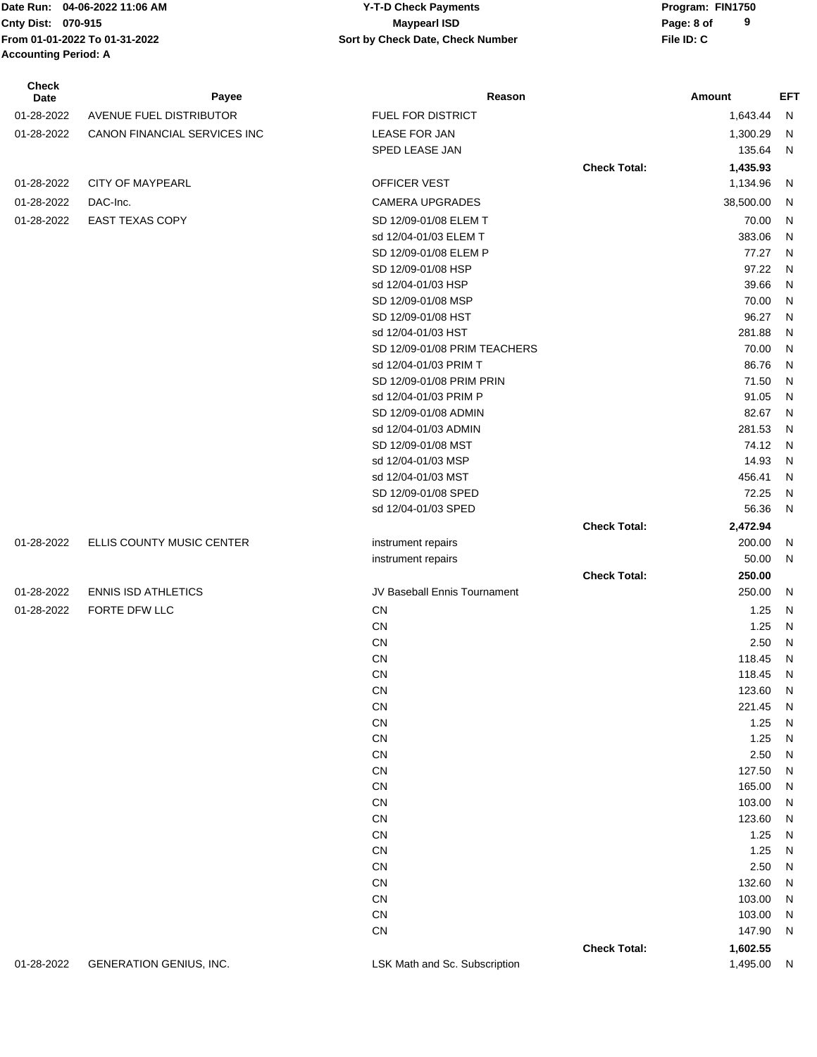#### Date Run: 04-06-2022 11:06 AM **CONSERVIA CONSERVIATES** Y-T-D Check Payments **CONSERVIATES** Program: FIN1750 **Cnty Dist: Page: 8 of 04-06-2022 11:06 AM Y-T-D Check Payments 070-915 Maypearl ISD**

**9**

| <b>Check</b><br>Date | Payee                        | Reason                       |                     | Amount           | <b>EFT</b>                |
|----------------------|------------------------------|------------------------------|---------------------|------------------|---------------------------|
| 01-28-2022           | AVENUE FUEL DISTRIBUTOR      | <b>FUEL FOR DISTRICT</b>     |                     | 1,643.44         | N                         |
| 01-28-2022           | CANON FINANCIAL SERVICES INC | <b>LEASE FOR JAN</b>         |                     | 1,300.29         | N                         |
|                      |                              | SPED LEASE JAN               |                     | 135.64           | $\mathsf{N}$              |
|                      |                              |                              | <b>Check Total:</b> | 1,435.93         |                           |
| 01-28-2022           | <b>CITY OF MAYPEARL</b>      | OFFICER VEST                 |                     | 1,134.96         | N                         |
| 01-28-2022           | DAC-Inc.                     | <b>CAMERA UPGRADES</b>       |                     | 38,500.00        | N                         |
| 01-28-2022           | <b>EAST TEXAS COPY</b>       | SD 12/09-01/08 ELEM T        |                     | 70.00            | $\mathsf{N}$              |
|                      |                              | sd 12/04-01/03 ELEM T        |                     | 383.06           | $\mathsf{N}$              |
|                      |                              | SD 12/09-01/08 ELEM P        |                     | 77.27            | $\mathsf{N}$              |
|                      |                              | SD 12/09-01/08 HSP           |                     | 97.22            | $\mathsf{N}$              |
|                      |                              | sd 12/04-01/03 HSP           |                     | 39.66            | ${\sf N}$                 |
|                      |                              | SD 12/09-01/08 MSP           |                     | 70.00            | ${\sf N}$                 |
|                      |                              | SD 12/09-01/08 HST           |                     | 96.27            | ${\sf N}$                 |
|                      |                              | sd 12/04-01/03 HST           |                     | 281.88           | ${\sf N}$                 |
|                      |                              | SD 12/09-01/08 PRIM TEACHERS |                     | 70.00            | ${\sf N}$                 |
|                      |                              | sd 12/04-01/03 PRIM T        |                     | 86.76            | ${\sf N}$                 |
|                      |                              | SD 12/09-01/08 PRIM PRIN     |                     | 71.50            | ${\sf N}$                 |
|                      |                              | sd 12/04-01/03 PRIM P        |                     | 91.05            | ${\sf N}$                 |
|                      |                              | SD 12/09-01/08 ADMIN         |                     | 82.67            | ${\sf N}$                 |
|                      |                              | sd 12/04-01/03 ADMIN         |                     | 281.53           | $\mathsf{N}$              |
|                      |                              | SD 12/09-01/08 MST           |                     | 74.12            | ${\sf N}$                 |
|                      |                              | sd 12/04-01/03 MSP           |                     | 14.93            | ${\sf N}$                 |
|                      |                              | sd 12/04-01/03 MST           |                     | 456.41           | $\mathsf{N}$              |
|                      |                              | SD 12/09-01/08 SPED          |                     | 72.25            | ${\sf N}$                 |
|                      |                              | sd 12/04-01/03 SPED          |                     | 56.36            | ${\sf N}$                 |
|                      |                              |                              | <b>Check Total:</b> | 2,472.94         |                           |
| 01-28-2022           | ELLIS COUNTY MUSIC CENTER    | instrument repairs           |                     | 200.00           | N                         |
|                      |                              | instrument repairs           |                     | 50.00            | ${\sf N}$                 |
| 01-28-2022           | <b>ENNIS ISD ATHLETICS</b>   | JV Baseball Ennis Tournament | <b>Check Total:</b> | 250.00<br>250.00 | N                         |
|                      |                              |                              |                     |                  |                           |
| 01-28-2022           | FORTE DFW LLC                | CN                           |                     | 1.25             | N                         |
|                      |                              | CN                           |                     | 1.25             | ${\sf N}$                 |
|                      |                              | CN<br><b>CN</b>              |                     | 2.50<br>118.45   | ${\sf N}$<br>$\mathsf{N}$ |
|                      |                              | CN                           |                     | 118.45           | N                         |
|                      |                              | CN                           |                     | 123.60           | N                         |
|                      |                              | ${\sf CN}$                   |                     | 221.45           | Ν                         |
|                      |                              | ${\sf CN}$                   |                     | 1.25             | Ν                         |
|                      |                              | CN                           |                     | 1.25             | Ν                         |
|                      |                              | CN                           |                     | 2.50             | Ν                         |
|                      |                              | CN                           |                     | 127.50           | Ν                         |
|                      |                              | CN                           |                     | 165.00           | Ν                         |
|                      |                              | CN                           |                     | 103.00           | Ν                         |
|                      |                              | CN                           |                     | 123.60           | Ν                         |
|                      |                              | CN                           |                     | 1.25             | N                         |
|                      |                              | CN                           |                     | 1.25             | N                         |
|                      |                              | CN                           |                     | 2.50             | N                         |
|                      |                              | CN                           |                     | 132.60           | N                         |
|                      |                              | CN                           |                     | 103.00           | N                         |
|                      |                              | CN                           |                     | 103.00           | Ν                         |
|                      |                              | ${\sf CN}$                   |                     | 147.90           | Ν                         |
|                      |                              |                              | <b>Check Total:</b> | 1,602.55         |                           |

01-28-2022 GENERATION GENIUS, INC. LSK Math and Sc. Subscription 1,495.00 N